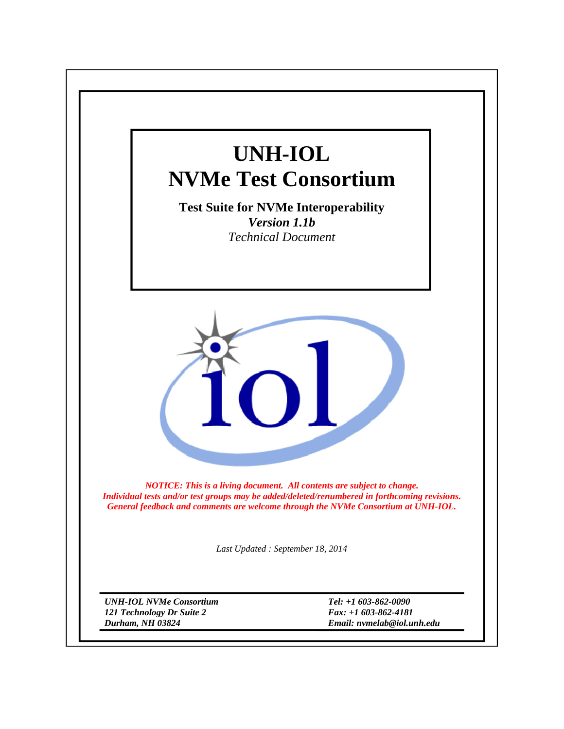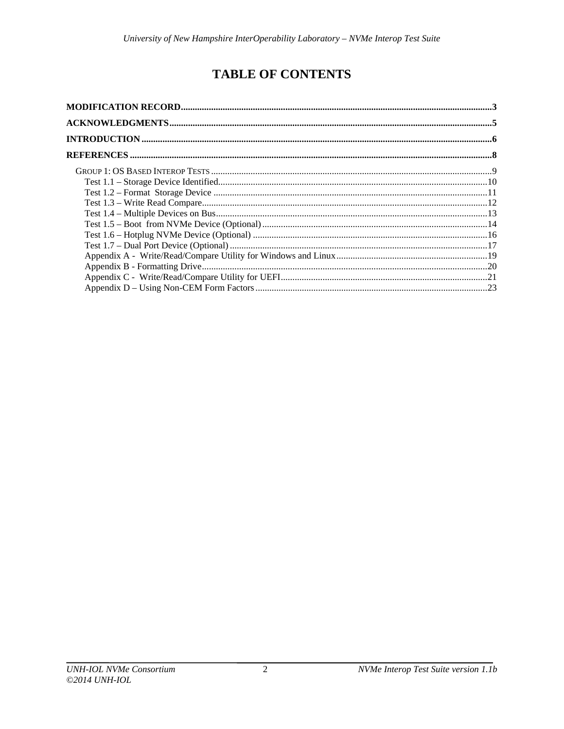# **TABLE OF CONTENTS**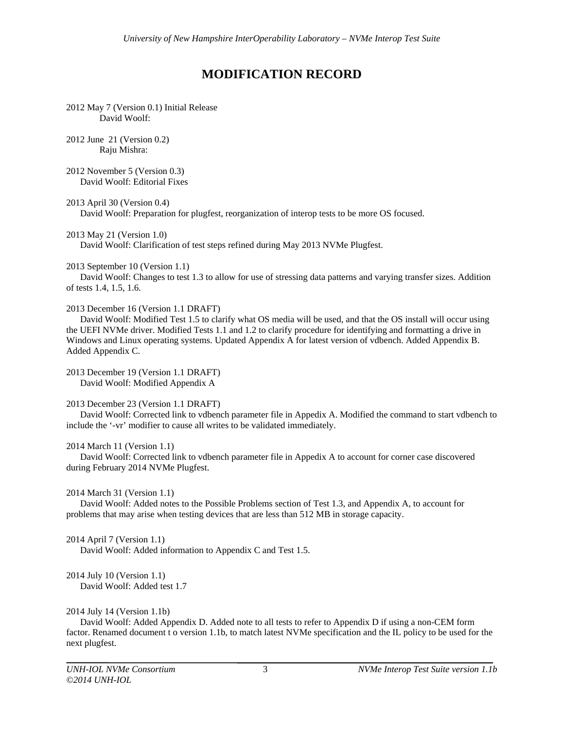# **MODIFICATION RECORD**

2012 May 7 (Version 0.1) Initial Release David Woolf:

2012 June 21 (Version 0.2) Raju Mishra:

2012 November 5 (Version 0.3) David Woolf: Editorial Fixes

2013 April 30 (Version 0.4)

David Woolf: Preparation for plugfest, reorganization of interop tests to be more OS focused.

2013 May 21 (Version 1.0)

David Woolf: Clarification of test steps refined during May 2013 NVMe Plugfest.

2013 September 10 (Version 1.1)

 David Woolf: Changes to test 1.3 to allow for use of stressing data patterns and varying transfer sizes. Addition of tests 1.4, 1.5, 1.6.

#### 2013 December 16 (Version 1.1 DRAFT)

 David Woolf: Modified Test 1.5 to clarify what OS media will be used, and that the OS install will occur using the UEFI NVMe driver. Modified Tests 1.1 and 1.2 to clarify procedure for identifying and formatting a drive in Windows and Linux operating systems. Updated Appendix A for latest version of vdbench. Added Appendix B. Added Appendix C.

2013 December 19 (Version 1.1 DRAFT) David Woolf: Modified Appendix A

#### 2013 December 23 (Version 1.1 DRAFT)

 David Woolf: Corrected link to vdbench parameter file in Appedix A. Modified the command to start vdbench to include the '-vr' modifier to cause all writes to be validated immediately.

#### 2014 March 11 (Version 1.1)

 David Woolf: Corrected link to vdbench parameter file in Appedix A to account for corner case discovered during February 2014 NVMe Plugfest.

#### 2014 March 31 (Version 1.1)

 David Woolf: Added notes to the Possible Problems section of Test 1.3, and Appendix A, to account for problems that may arise when testing devices that are less than 512 MB in storage capacity.

#### 2014 April 7 (Version 1.1)

David Woolf: Added information to Appendix C and Test 1.5.

## 2014 July 10 (Version 1.1)

David Woolf: Added test 1.7

#### 2014 July 14 (Version 1.1b)

 David Woolf: Added Appendix D. Added note to all tests to refer to Appendix D if using a non-CEM form factor. Renamed document t o version 1.1b, to match latest NVMe specification and the IL policy to be used for the next plugfest.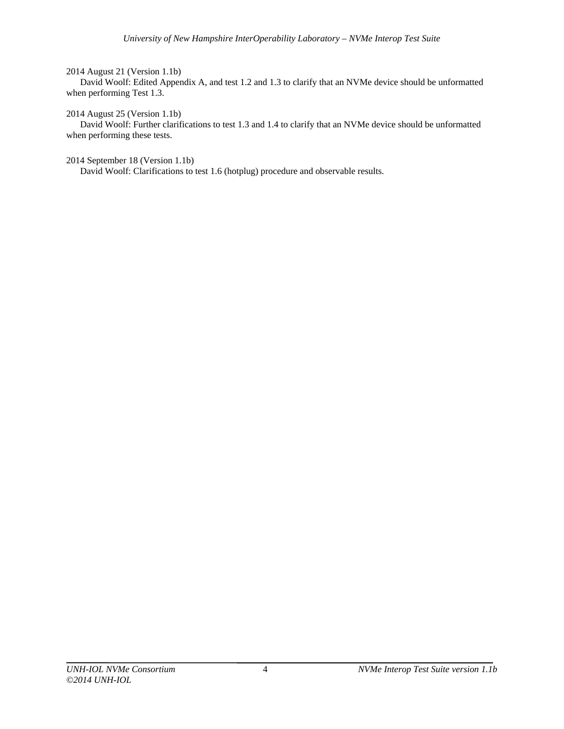#### 2014 August 21 (Version 1.1b)

 David Woolf: Edited Appendix A, and test 1.2 and 1.3 to clarify that an NVMe device should be unformatted when performing Test 1.3.

#### 2014 August 25 (Version 1.1b)

 David Woolf: Further clarifications to test 1.3 and 1.4 to clarify that an NVMe device should be unformatted when performing these tests.

## 2014 September 18 (Version 1.1b)

David Woolf: Clarifications to test 1.6 (hotplug) procedure and observable results.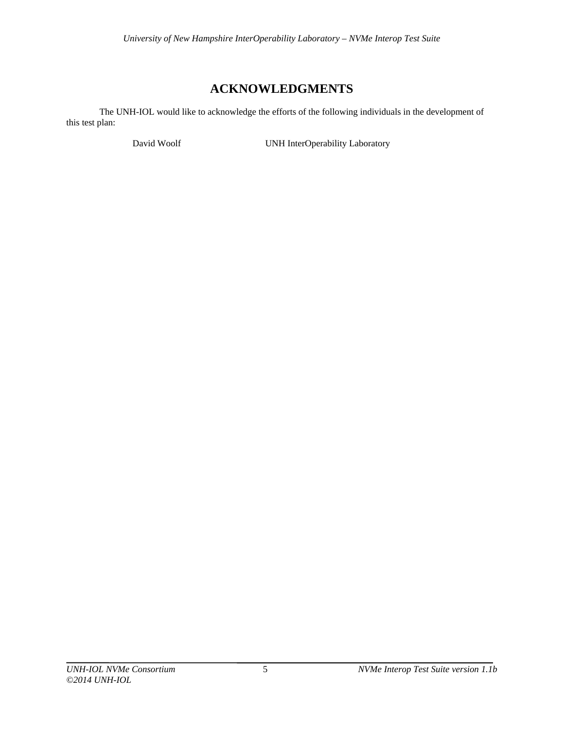# **ACKNOWLEDGMENTS**

 The UNH-IOL would like to acknowledge the efforts of the following individuals in the development of this test plan:

David Woolf **UNH InterOperability Laboratory**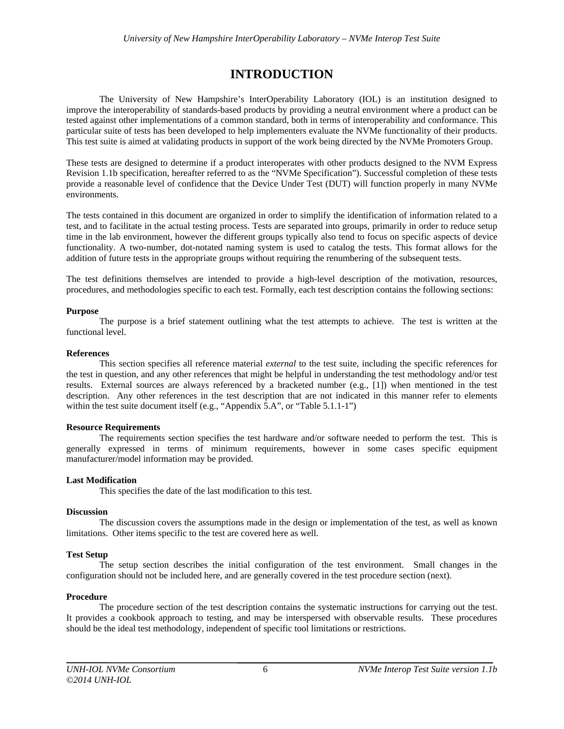# **INTRODUCTION**

The University of New Hampshire's InterOperability Laboratory (IOL) is an institution designed to improve the interoperability of standards-based products by providing a neutral environment where a product can be tested against other implementations of a common standard, both in terms of interoperability and conformance. This particular suite of tests has been developed to help implementers evaluate the NVMe functionality of their products. This test suite is aimed at validating products in support of the work being directed by the NVMe Promoters Group.

These tests are designed to determine if a product interoperates with other products designed to the NVM Express Revision 1.1b specification, hereafter referred to as the "NVMe Specification"). Successful completion of these tests provide a reasonable level of confidence that the Device Under Test (DUT) will function properly in many NVMe environments.

The tests contained in this document are organized in order to simplify the identification of information related to a test, and to facilitate in the actual testing process. Tests are separated into groups, primarily in order to reduce setup time in the lab environment, however the different groups typically also tend to focus on specific aspects of device functionality. A two-number, dot-notated naming system is used to catalog the tests. This format allows for the addition of future tests in the appropriate groups without requiring the renumbering of the subsequent tests.

The test definitions themselves are intended to provide a high-level description of the motivation, resources, procedures, and methodologies specific to each test. Formally, each test description contains the following sections:

#### **Purpose**

 The purpose is a brief statement outlining what the test attempts to achieve. The test is written at the functional level.

#### **References**

 This section specifies all reference material *external* to the test suite, including the specific references for the test in question, and any other references that might be helpful in understanding the test methodology and/or test results. External sources are always referenced by a bracketed number (e.g., [1]) when mentioned in the test description. Any other references in the test description that are not indicated in this manner refer to elements within the test suite document itself (e.g., "Appendix 5.A", or "Table 5.1.1-1")

#### **Resource Requirements**

 The requirements section specifies the test hardware and/or software needed to perform the test. This is generally expressed in terms of minimum requirements, however in some cases specific equipment manufacturer/model information may be provided.

#### **Last Modification**

This specifies the date of the last modification to this test.

#### **Discussion**

 The discussion covers the assumptions made in the design or implementation of the test, as well as known limitations. Other items specific to the test are covered here as well.

## **Test Setup**

 The setup section describes the initial configuration of the test environment. Small changes in the configuration should not be included here, and are generally covered in the test procedure section (next).

#### **Procedure**

 The procedure section of the test description contains the systematic instructions for carrying out the test. It provides a cookbook approach to testing, and may be interspersed with observable results. These procedures should be the ideal test methodology, independent of specific tool limitations or restrictions.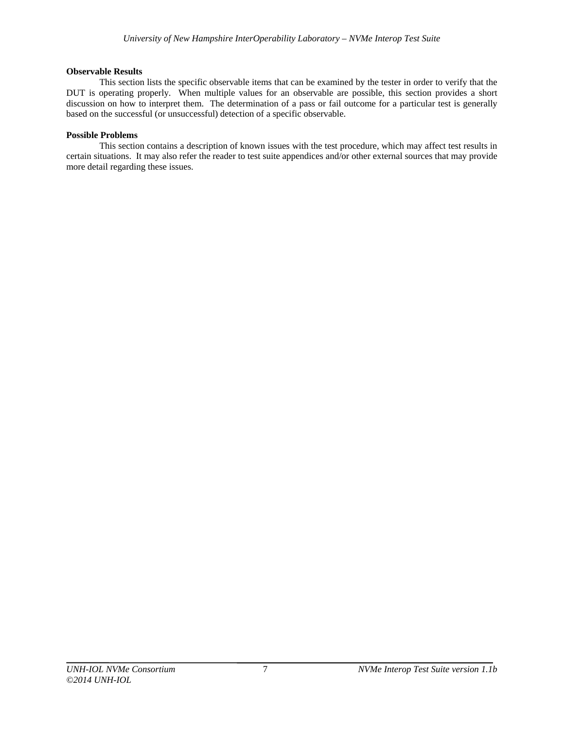#### **Observable Results**

 This section lists the specific observable items that can be examined by the tester in order to verify that the DUT is operating properly. When multiple values for an observable are possible, this section provides a short discussion on how to interpret them. The determination of a pass or fail outcome for a particular test is generally based on the successful (or unsuccessful) detection of a specific observable.

#### **Possible Problems**

 This section contains a description of known issues with the test procedure, which may affect test results in certain situations. It may also refer the reader to test suite appendices and/or other external sources that may provide more detail regarding these issues.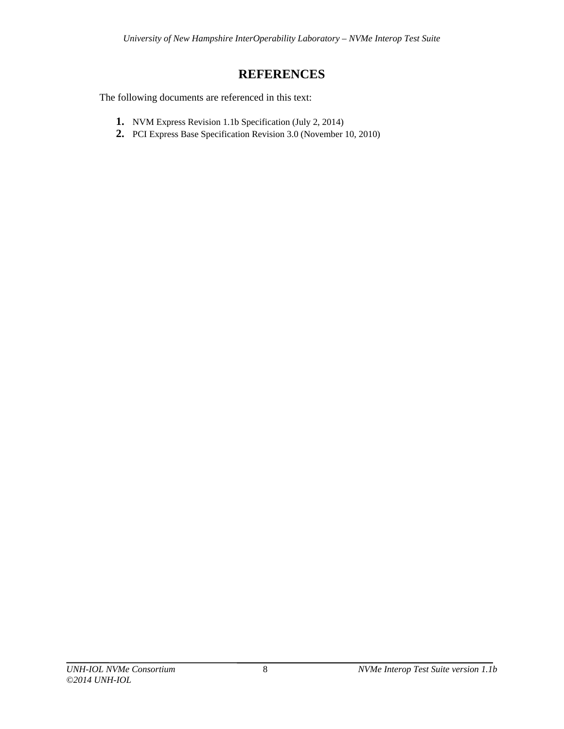# **REFERENCES**

The following documents are referenced in this text:

- **1.** NVM Express Revision 1.1b Specification (July 2, 2014)
- **2.** PCI Express Base Specification Revision 3.0 (November 10, 2010)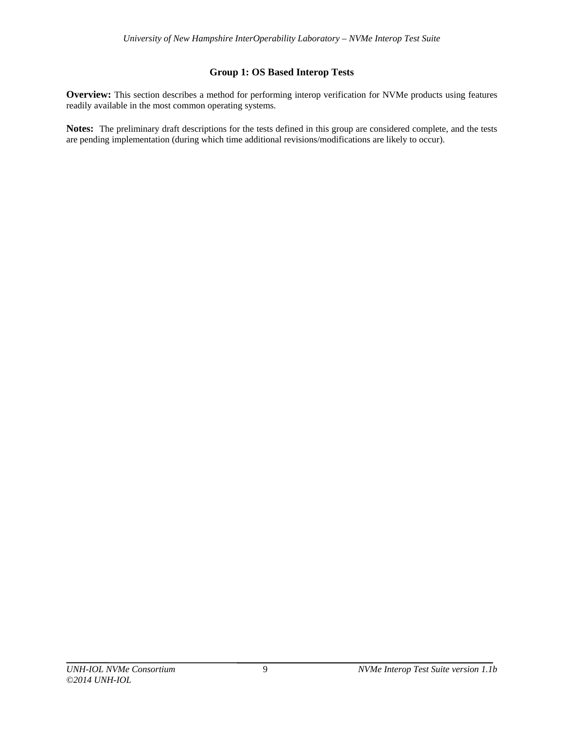# **Group 1: OS Based Interop Tests**

**Overview:** This section describes a method for performing interop verification for NVMe products using features readily available in the most common operating systems.

**Notes:** The preliminary draft descriptions for the tests defined in this group are considered complete, and the tests are pending implementation (during which time additional revisions/modifications are likely to occur).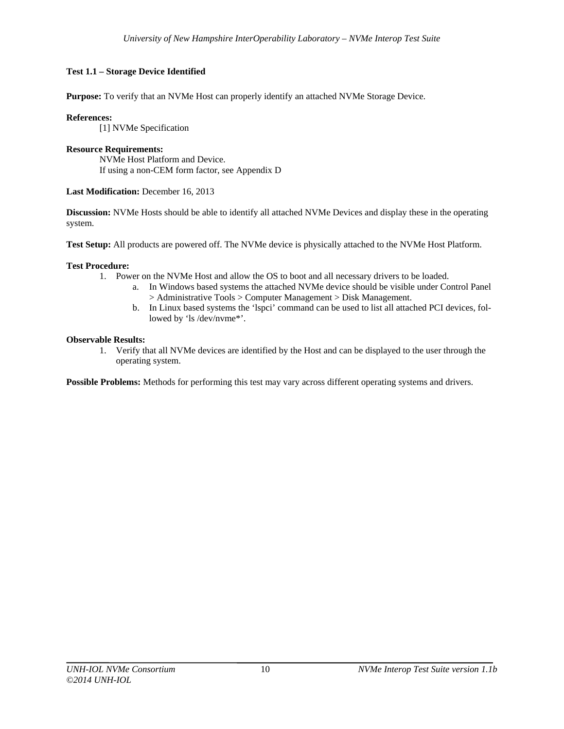# **Test 1.1 – Storage Device Identified**

**Purpose:** To verify that an NVMe Host can properly identify an attached NVMe Storage Device.

## **References:**

[1] NVMe Specification

#### **Resource Requirements:**  NVMe Host Platform and Device. If using a non-CEM form factor, see Appendix D

## **Last Modification:** December 16, 2013

**Discussion:** NVMe Hosts should be able to identify all attached NVMe Devices and display these in the operating system.

**Test Setup:** All products are powered off. The NVMe device is physically attached to the NVMe Host Platform.

## **Test Procedure:**

- 1. Power on the NVMe Host and allow the OS to boot and all necessary drivers to be loaded.
	- a. In Windows based systems the attached NVMe device should be visible under Control Panel > Administrative Tools > Computer Management > Disk Management.
	- b. In Linux based systems the 'lspci' command can be used to list all attached PCI devices, followed by 'ls /dev/nvme\*'.

#### **Observable Results:**

1. Verify that all NVMe devices are identified by the Host and can be displayed to the user through the operating system.

**Possible Problems:** Methods for performing this test may vary across different operating systems and drivers.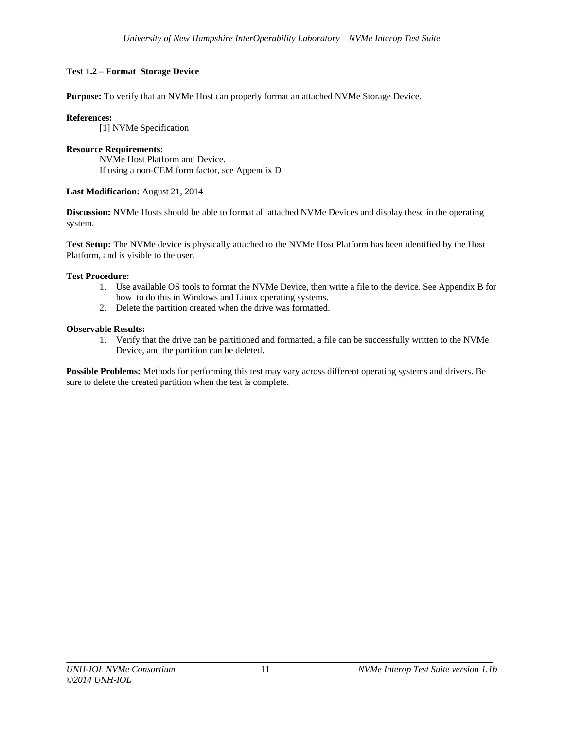# **Test 1.2 – Format Storage Device**

**Purpose:** To verify that an NVMe Host can properly format an attached NVMe Storage Device.

## **References:**

[1] NVMe Specification

#### **Resource Requirements:**  NVMe Host Platform and Device.

If using a non-CEM form factor, see Appendix D

# **Last Modification:** August 21, 2014

**Discussion:** NVMe Hosts should be able to format all attached NVMe Devices and display these in the operating system.

**Test Setup:** The NVMe device is physically attached to the NVMe Host Platform has been identified by the Host Platform, and is visible to the user.

## **Test Procedure:**

- 1. Use available OS tools to format the NVMe Device, then write a file to the device. See Appendix B for how to do this in Windows and Linux operating systems.
- 2. Delete the partition created when the drive was formatted.

## **Observable Results:**

1. Verify that the drive can be partitioned and formatted, a file can be successfully written to the NVMe Device, and the partition can be deleted.

**Possible Problems:** Methods for performing this test may vary across different operating systems and drivers. Be sure to delete the created partition when the test is complete.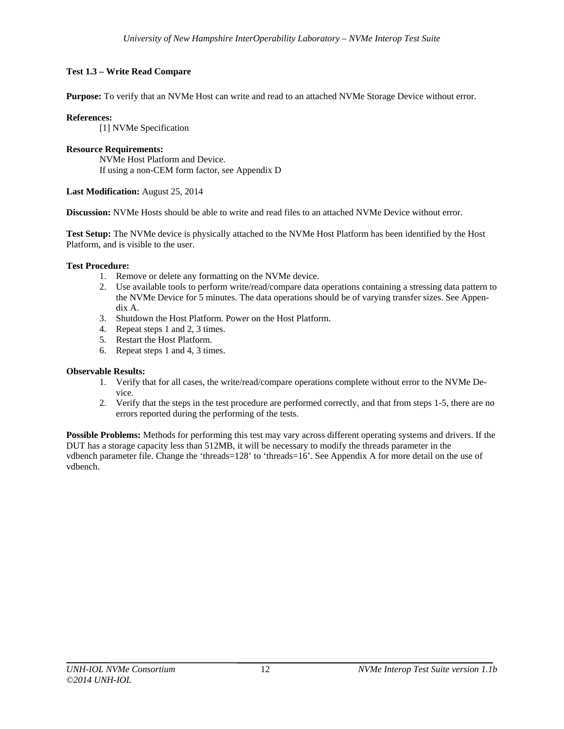# **Test 1.3 – Write Read Compare**

**Purpose:** To verify that an NVMe Host can write and read to an attached NVMe Storage Device without error.

## **References:**

[1] NVMe Specification

#### **Resource Requirements:**  NVMe Host Platform and Device. If using a non-CEM form factor, see Appendix D

## **Last Modification:** August 25, 2014

**Discussion:** NVMe Hosts should be able to write and read files to an attached NVMe Device without error.

**Test Setup:** The NVMe device is physically attached to the NVMe Host Platform has been identified by the Host Platform, and is visible to the user.

#### **Test Procedure:**

- 1. Remove or delete any formatting on the NVMe device.
- 2. Use available tools to perform write/read/compare data operations containing a stressing data pattern to the NVMe Device for 5 minutes. The data operations should be of varying transfer sizes. See Appendix A.
- 3. Shutdown the Host Platform. Power on the Host Platform.
- 4. Repeat steps 1 and 2, 3 times.
- 5. Restart the Host Platform.
- 6. Repeat steps 1 and 4, 3 times.

## **Observable Results:**

- 1. Verify that for all cases, the write/read/compare operations complete without error to the NVMe Device.
- 2. Verify that the steps in the test procedure are performed correctly, and that from steps 1-5, there are no errors reported during the performing of the tests.

**Possible Problems:** Methods for performing this test may vary across different operating systems and drivers. If the DUT has a storage capacity less than 512MB, it will be necessary to modify the threads parameter in the vdbench parameter file. Change the 'threads=128' to 'threads=16'. See Appendix A for more detail on the use of vdbench.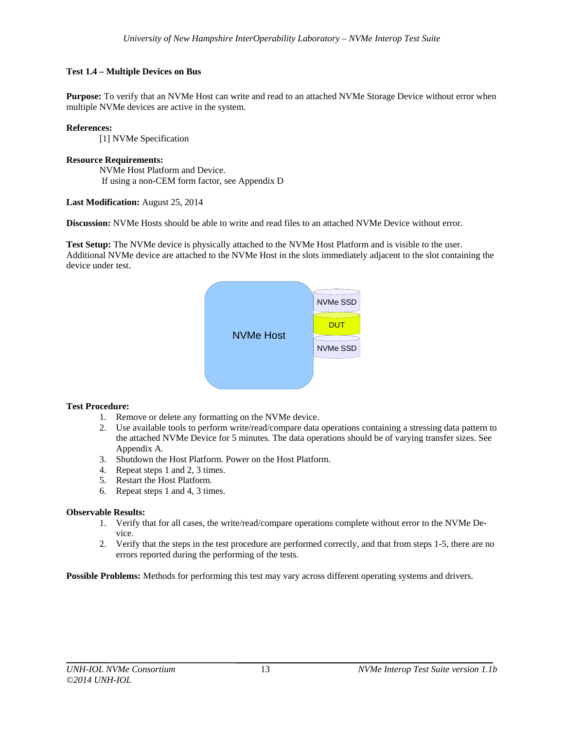# **Test 1.4 – Multiple Devices on Bus**

**Purpose:** To verify that an NVMe Host can write and read to an attached NVMe Storage Device without error when multiple NVMe devices are active in the system.

#### **References:**

[1] NVMe Specification

#### **Resource Requirements:**

NVMe Host Platform and Device. If using a non-CEM form factor, see Appendix D

#### **Last Modification:** August 25, 2014

**Discussion:** NVMe Hosts should be able to write and read files to an attached NVMe Device without error.

**Test Setup:** The NVMe device is physically attached to the NVMe Host Platform and is visible to the user. Additional NVMe device are attached to the NVMe Host in the slots immediately adjacent to the slot containing the device under test.



## **Test Procedure:**

- 1. Remove or delete any formatting on the NVMe device.
- 2. Use available tools to perform write/read/compare data operations containing a stressing data pattern to the attached NVMe Device for 5 minutes. The data operations should be of varying transfer sizes. See Appendix A.
- 3. Shutdown the Host Platform. Power on the Host Platform.
- 4. Repeat steps 1 and 2, 3 times.
- 5. Restart the Host Platform.
- 6. Repeat steps 1 and 4, 3 times.

## **Observable Results:**

- 1. Verify that for all cases, the write/read/compare operations complete without error to the NVMe Device.
- 2. Verify that the steps in the test procedure are performed correctly, and that from steps 1-5, there are no errors reported during the performing of the tests.

**Possible Problems:** Methods for performing this test may vary across different operating systems and drivers.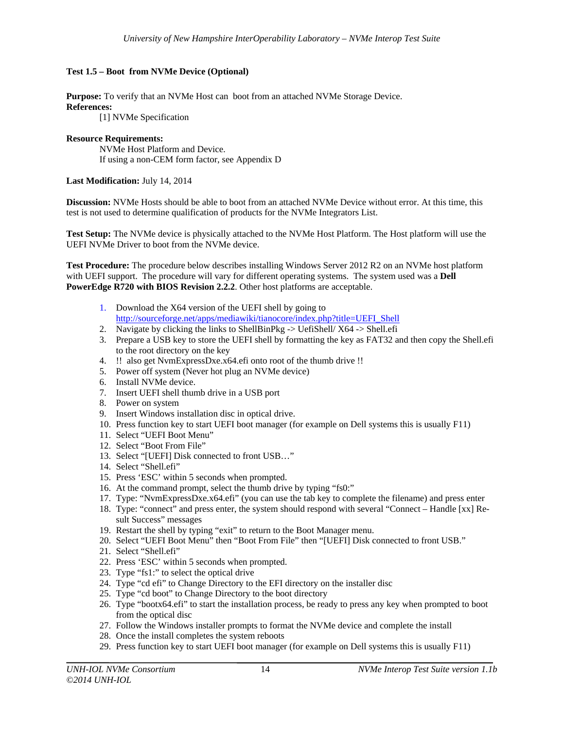# **Test 1.5 – Boot from NVMe Device (Optional)**

**Purpose:** To verify that an NVMe Host can boot from an attached NVMe Storage Device. **References:** 

[1] NVMe Specification

## **Resource Requirements:**

NVMe Host Platform and Device. If using a non-CEM form factor, see Appendix D

## **Last Modification:** July 14, 2014

**Discussion:** NVMe Hosts should be able to boot from an attached NVMe Device without error. At this time, this test is not used to determine qualification of products for the NVMe Integrators List.

**Test Setup:** The NVMe device is physically attached to the NVMe Host Platform. The Host platform will use the UEFI NVMe Driver to boot from the NVMe device.

**Test Procedure:** The procedure below describes installing Windows Server 2012 R2 on an NVMe host platform with UEFI support. The procedure will vary for different operating systems. The system used was a **Dell PowerEdge R720 with BIOS Revision 2.2.2**. Other host platforms are acceptable.

- 1. Download the X64 version of the UEFI shell by going to http://sourceforge.net/apps/mediawiki/tianocore/index.php?title=UEFI\_Shell
- 2. Navigate by clicking the links to ShellBinPkg -> UefiShell/ X64 -> Shell.efi
- 3. Prepare a USB key to store the UEFI shell by formatting the key as FAT32 and then copy the Shell.efi to the root directory on the key
- 4. !! also get NvmExpressDxe.x64.efi onto root of the thumb drive !!
- 5. Power off system (Never hot plug an NVMe device)
- 6. Install NVMe device.
- 7. Insert UEFI shell thumb drive in a USB port
- 8. Power on system
- 9. Insert Windows installation disc in optical drive.
- 10. Press function key to start UEFI boot manager (for example on Dell systems this is usually F11)
- 11. Select "UEFI Boot Menu"
- 12. Select "Boot From File"
- 13. Select "[UEFI] Disk connected to front USB…"
- 14. Select "Shell.efi"
- 15. Press 'ESC' within 5 seconds when prompted.
- 16. At the command prompt, select the thumb drive by typing "fs0:"
- 17. Type: "NvmExpressDxe.x64.efi" (you can use the tab key to complete the filename) and press enter
- 18. Type: "connect" and press enter, the system should respond with several "Connect Handle [xx] Result Success" messages
- 19. Restart the shell by typing "exit" to return to the Boot Manager menu.
- 20. Select "UEFI Boot Menu" then "Boot From File" then "[UEFI] Disk connected to front USB."
- 21. Select "Shell.efi"
- 22. Press 'ESC' within 5 seconds when prompted.
- 23. Type "fs1:" to select the optical drive
- 24. Type "cd efi" to Change Directory to the EFI directory on the installer disc
- 25. Type "cd boot" to Change Directory to the boot directory
- 26. Type "bootx64.efi" to start the installation process, be ready to press any key when prompted to boot from the optical disc
- 27. Follow the Windows installer prompts to format the NVMe device and complete the install
- 28. Once the install completes the system reboots
- 29. Press function key to start UEFI boot manager (for example on Dell systems this is usually F11)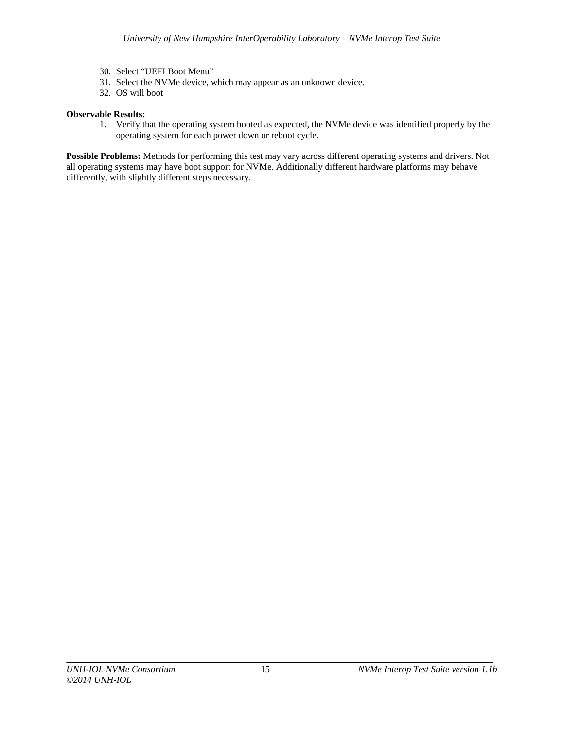- 30. Select "UEFI Boot Menu"
- 31. Select the NVMe device, which may appear as an unknown device.
- 32. OS will boot

# **Observable Results:**

1. Verify that the operating system booted as expected, the NVMe device was identified properly by the operating system for each power down or reboot cycle.

**Possible Problems:** Methods for performing this test may vary across different operating systems and drivers. Not all operating systems may have boot support for NVMe. Additionally different hardware platforms may behave differently, with slightly different steps necessary.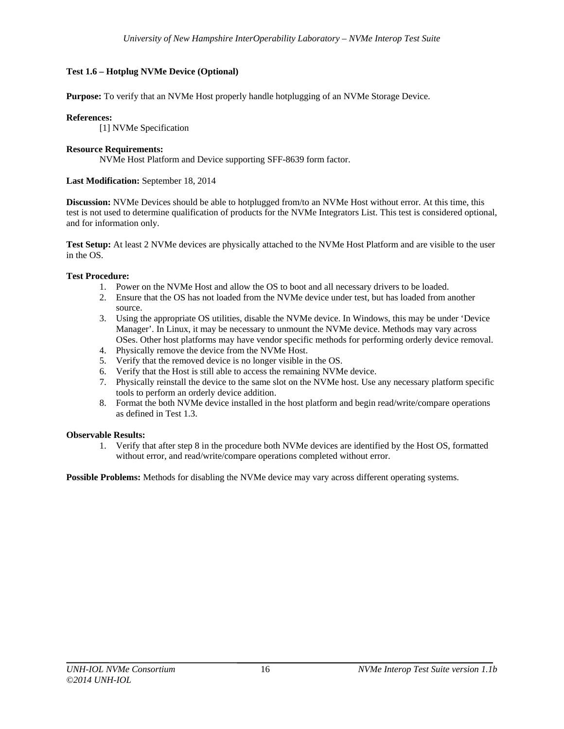# **Test 1.6 – Hotplug NVMe Device (Optional)**

**Purpose:** To verify that an NVMe Host properly handle hotplugging of an NVMe Storage Device.

## **References:**

[1] NVMe Specification

## **Resource Requirements:**

NVMe Host Platform and Device supporting SFF-8639 form factor.

#### **Last Modification:** September 18, 2014

**Discussion:** NVMe Devices should be able to hotplugged from/to an NVMe Host without error. At this time, this test is not used to determine qualification of products for the NVMe Integrators List. This test is considered optional, and for information only.

**Test Setup:** At least 2 NVMe devices are physically attached to the NVMe Host Platform and are visible to the user in the OS.

#### **Test Procedure:**

- 1. Power on the NVMe Host and allow the OS to boot and all necessary drivers to be loaded.
- 2. Ensure that the OS has not loaded from the NVMe device under test, but has loaded from another source.
- 3. Using the appropriate OS utilities, disable the NVMe device. In Windows, this may be under 'Device Manager'. In Linux, it may be necessary to unmount the NVMe device. Methods may vary across OSes. Other host platforms may have vendor specific methods for performing orderly device removal.
- 4. Physically remove the device from the NVMe Host.
- 5. Verify that the removed device is no longer visible in the OS.
- 6. Verify that the Host is still able to access the remaining NVMe device.
- 7. Physically reinstall the device to the same slot on the NVMe host. Use any necessary platform specific tools to perform an orderly device addition.
- 8. Format the both NVMe device installed in the host platform and begin read/write/compare operations as defined in Test 1.3.

## **Observable Results:**

1. Verify that after step 8 in the procedure both NVMe devices are identified by the Host OS, formatted without error, and read/write/compare operations completed without error.

**Possible Problems:** Methods for disabling the NVMe device may vary across different operating systems.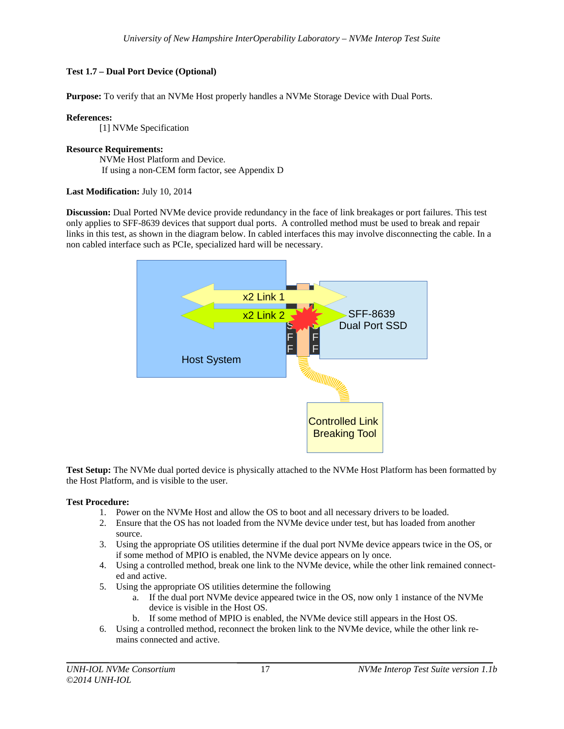# **Test 1.7 – Dual Port Device (Optional)**

**Purpose:** To verify that an NVMe Host properly handles a NVMe Storage Device with Dual Ports.

## **References:**

[1] NVMe Specification

#### **Resource Requirements:**  NVMe Host Platform and Device. If using a non-CEM form factor, see Appendix D

# **Last Modification:** July 10, 2014

**Discussion:** Dual Ported NVMe device provide redundancy in the face of link breakages or port failures. This test only applies to SFF-8639 devices that support dual ports. A controlled method must be used to break and repair links in this test, as shown in the diagram below. In cabled interfaces this may involve disconnecting the cable. In a non cabled interface such as PCIe, specialized hard will be necessary.



**Test Setup:** The NVMe dual ported device is physically attached to the NVMe Host Platform has been formatted by the Host Platform, and is visible to the user.

## **Test Procedure:**

- 1. Power on the NVMe Host and allow the OS to boot and all necessary drivers to be loaded.
- 2. Ensure that the OS has not loaded from the NVMe device under test, but has loaded from another source.
- 3. Using the appropriate OS utilities determine if the dual port NVMe device appears twice in the OS, or if some method of MPIO is enabled, the NVMe device appears on ly once.
- 4. Using a controlled method, break one link to the NVMe device, while the other link remained connected and active.
- 5. Using the appropriate OS utilities determine the following
	- a. If the dual port NVMe device appeared twice in the OS, now only 1 instance of the NVMe device is visible in the Host OS.
	- b. If some method of MPIO is enabled, the NVMe device still appears in the Host OS.
- 6. Using a controlled method, reconnect the broken link to the NVMe device, while the other link remains connected and active.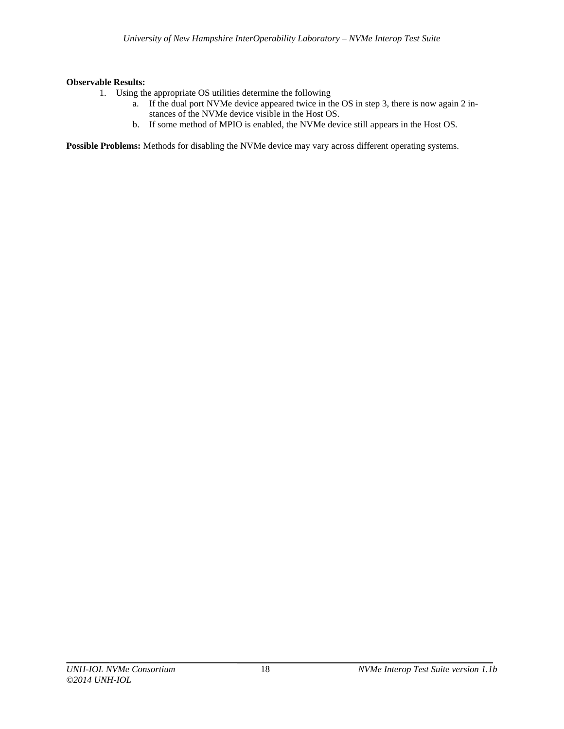# **Observable Results:**

- 1. Using the appropriate OS utilities determine the following
	- a. If the dual port NVMe device appeared twice in the OS in step 3, there is now again 2 instances of the NVMe device visible in the Host OS.
	- b. If some method of MPIO is enabled, the NVMe device still appears in the Host OS.

**Possible Problems:** Methods for disabling the NVMe device may vary across different operating systems.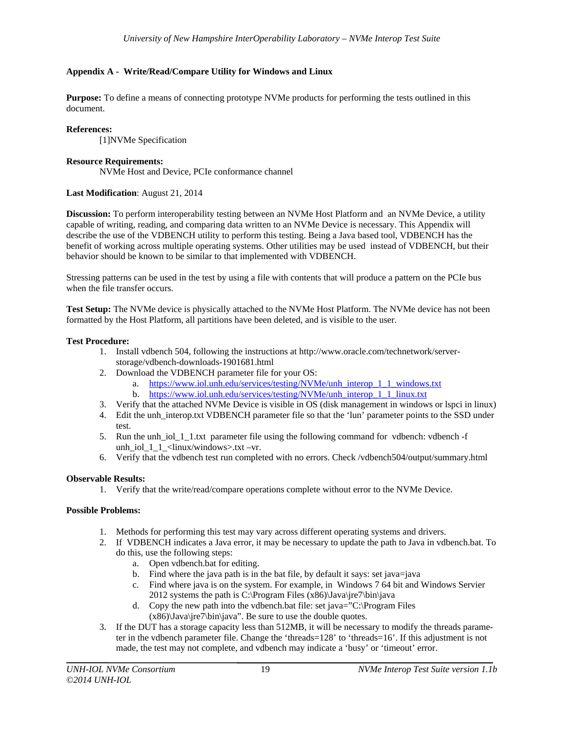# **Appendix A - Write/Read/Compare Utility for Windows and Linux**

**Purpose:** To define a means of connecting prototype NVMe products for performing the tests outlined in this document.

#### **References:**

[1]NVMe Specification

#### **Resource Requirements:**

NVMe Host and Device, PCIe conformance channel

## **Last Modification**: August 21, 2014

**Discussion:** To perform interoperability testing between an NVMe Host Platform and an NVMe Device, a utility capable of writing, reading, and comparing data written to an NVMe Device is necessary. This Appendix will describe the use of the VDBENCH utility to perform this testing. Being a Java based tool, VDBENCH has the benefit of working across multiple operating systems. Other utilities may be used instead of VDBENCH, but their behavior should be known to be similar to that implemented with VDBENCH.

Stressing patterns can be used in the test by using a file with contents that will produce a pattern on the PCIe bus when the file transfer occurs.

**Test Setup:** The NVMe device is physically attached to the NVMe Host Platform. The NVMe device has not been formatted by the Host Platform, all partitions have been deleted, and is visible to the user.

#### **Test Procedure:**

- 1. Install vdbench 504, following the instructions at http://www.oracle.com/technetwork/serverstorage/vdbench-downloads-1901681.html
- 2. Download the VDBENCH parameter file for your OS:
	- a. https://www.iol.unh.edu/services/testing/NVMe/unh\_interop\_1\_1\_windows.txt b. https://www.iol.unh.edu/services/testing/NVMe/unh\_interop\_1\_1\_linux.txt
- 3. Verify that the attached NVMe Device is visible in OS (disk management in windows or lspci in linux)
- 4. Edit the unh interop.txt VDBENCH parameter file so that the 'lun' parameter points to the SSD under test.
- 5. Run the unh\_iol\_1\_1.txt parameter file using the following command for vdbench: vdbench -f unh\_iol\_1\_1\_<linux/windows>.txt –vr.
- 6. Verify that the vdbench test run completed with no errors. Check /vdbench504/output/summary.html

## **Observable Results:**

1. Verify that the write/read/compare operations complete without error to the NVMe Device.

## **Possible Problems:**

- 1. Methods for performing this test may vary across different operating systems and drivers.
- 2. If VDBENCH indicates a Java error, it may be necessary to update the path to Java in vdbench.bat. To do this, use the following steps:
	- a. Open vdbench.bat for editing.
	- b. Find where the java path is in the bat file, by default it says: set java=java
	- c. Find where java is on the system. For example, in Windows 7 64 bit and Windows Servier 2012 systems the path is C:\Program Files  $(x86)\$ Java\jre7\bin\java
	- d. Copy the new path into the vdbench.bat file: set java="C:\Program Files  $(x86)\$ Java\jre7\bin\java". Be sure to use the double quotes.
- 3. If the DUT has a storage capacity less than 512MB, it will be necessary to modify the threads parameter in the vdbench parameter file. Change the 'threads=128' to 'threads=16'. If this adjustment is not made, the test may not complete, and vdbench may indicate a 'busy' or 'timeout' error.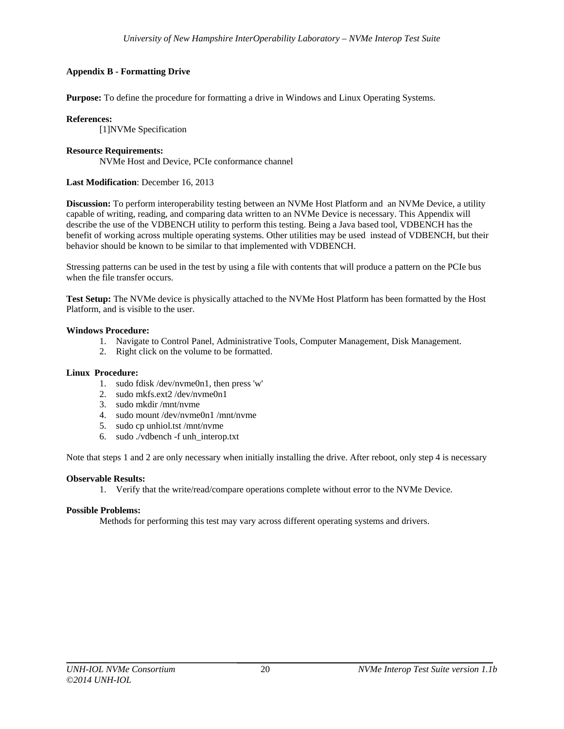# **Appendix B - Formatting Drive**

**Purpose:** To define the procedure for formatting a drive in Windows and Linux Operating Systems.

**References:**  [1]NVMe Specification

## **Resource Requirements:**

NVMe Host and Device, PCIe conformance channel

#### **Last Modification**: December 16, 2013

**Discussion:** To perform interoperability testing between an NVMe Host Platform and an NVMe Device, a utility capable of writing, reading, and comparing data written to an NVMe Device is necessary. This Appendix will describe the use of the VDBENCH utility to perform this testing. Being a Java based tool, VDBENCH has the benefit of working across multiple operating systems. Other utilities may be used instead of VDBENCH, but their behavior should be known to be similar to that implemented with VDBENCH.

Stressing patterns can be used in the test by using a file with contents that will produce a pattern on the PCIe bus when the file transfer occurs.

**Test Setup:** The NVMe device is physically attached to the NVMe Host Platform has been formatted by the Host Platform, and is visible to the user.

#### **Windows Procedure:**

- 1. Navigate to Control Panel, Administrative Tools, Computer Management, Disk Management.
- 2. Right click on the volume to be formatted.

#### **Linux Procedure:**

- 1. sudo fdisk /dev/nvme0n1, then press 'w'
- 2. sudo mkfs.ext2 /dev/nvme0n1
- 3. sudo mkdir /mnt/nvme
- 4. sudo mount /dev/nvme0n1 /mnt/nvme
- 5. sudo cp unhiol.tst /mnt/nvme
- 6. sudo ./vdbench -f unh\_interop.txt

Note that steps 1 and 2 are only necessary when initially installing the drive. After reboot, only step 4 is necessary

#### **Observable Results:**

1. Verify that the write/read/compare operations complete without error to the NVMe Device.

#### **Possible Problems:**

Methods for performing this test may vary across different operating systems and drivers.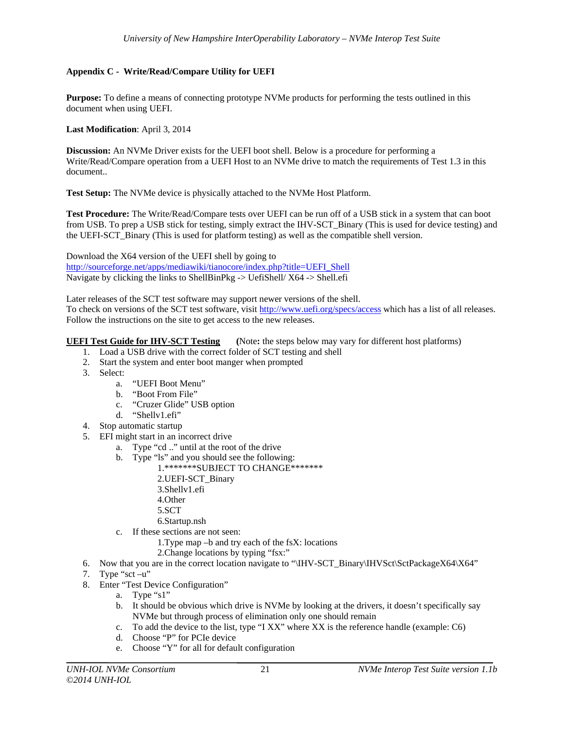# **Appendix C - Write/Read/Compare Utility for UEFI**

**Purpose:** To define a means of connecting prototype NVMe products for performing the tests outlined in this document when using UEFI.

**Last Modification**: April 3, 2014

**Discussion:** An NVMe Driver exists for the UEFI boot shell. Below is a procedure for performing a Write/Read/Compare operation from a UEFI Host to an NVMe drive to match the requirements of Test 1.3 in this document..

**Test Setup:** The NVMe device is physically attached to the NVMe Host Platform.

**Test Procedure:** The Write/Read/Compare tests over UEFI can be run off of a USB stick in a system that can boot from USB. To prep a USB stick for testing, simply extract the IHV-SCT\_Binary (This is used for device testing) and the UEFI-SCT\_Binary (This is used for platform testing) as well as the compatible shell version.

Download the X64 version of the UEFI shell by going to http://sourceforge.net/apps/mediawiki/tianocore/index.php?title=UEFI\_Shell Navigate by clicking the links to ShellBinPkg -> UefiShell/ X64 -> Shell.efi

Later releases of the SCT test software may support newer versions of the shell. To check on versions of the SCT test software, visit http://www.uefi.org/specs/access which has a list of all releases. Follow the instructions on the site to get access to the new releases.

# **UEFI Test Guide for IHV-SCT Testing (**Note**:** the steps below may vary for different host platforms)

- 1. Load a USB drive with the correct folder of SCT testing and shell
- 2. Start the system and enter boot manger when prompted
- 3. Select:
	- a. "UEFI Boot Menu"
	- b. "Boot From File"
	- c. "Cruzer Glide" USB option
	- d. "Shellv1.efi"
- 4. Stop automatic startup
- 5. EFI might start in an incorrect drive
	- a. Type "cd .." until at the root of the drive
	- b. Type "ls" and you should see the following:
		- 1.\*\*\*\*\*\*\*SUBJECT TO CHANGE\*\*\*\*\*\*\*
			- 2.UEFI-SCT\_Binary
			- 3.Shellv1.efi
			- 4.Other
			- 5.SCT
			- 6.Startup.nsh
	- c. If these sections are not seen:
		- 1.Type map –b and try each of the fsX: locations
			- 2.Change locations by typing "fsx:"
- 6. Now that you are in the correct location navigate to "\IHV-SCT\_Binary\IHVSct\SctPackageX64\X64"
- 7. Type "sct  $-u$ "
- 8. Enter "Test Device Configuration"
	- a. Type "s1"
	- b. It should be obvious which drive is NVMe by looking at the drivers, it doesn't specifically say NVMe but through process of elimination only one should remain
	- c. To add the device to the list, type "I XX" where XX is the reference handle (example: C6)
	- d. Choose "P" for PCIe device
	- e. Choose "Y" for all for default configuration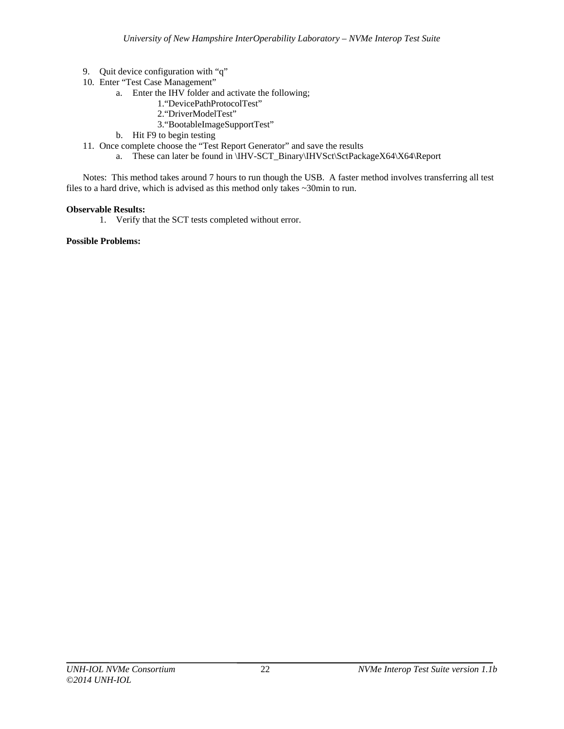- 9. Quit device configuration with "q"
- 10. Enter "Test Case Management"
	- a. Enter the IHV folder and activate the following;
		- 1."DevicePathProtocolTest"
		- 2."DriverModelTest"
		- 3."BootableImageSupportTest"
	- b. Hit F9 to begin testing
- 11. Once complete choose the "Test Report Generator" and save the results
	- a. These can later be found in \IHV-SCT\_Binary\IHVSct\SctPackageX64\X64\Report

Notes: This method takes around 7 hours to run though the USB. A faster method involves transferring all test files to a hard drive, which is advised as this method only takes ~30min to run.

## **Observable Results:**

1. Verify that the SCT tests completed without error.

## **Possible Problems:**